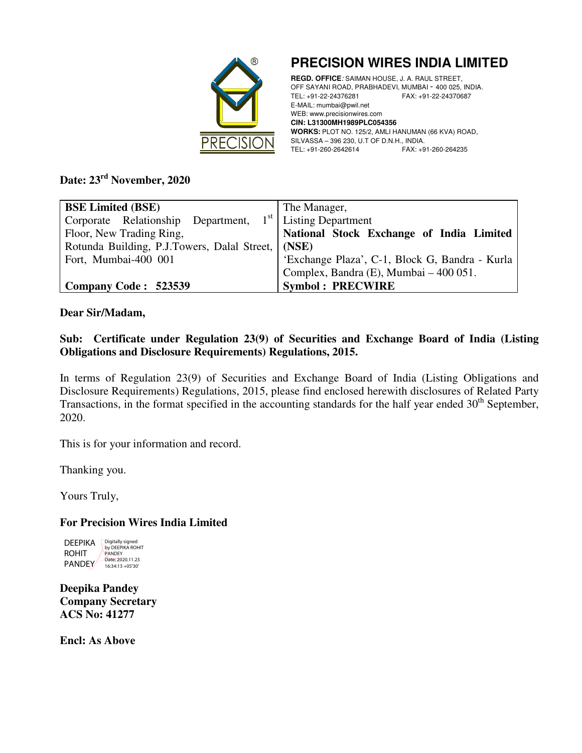

**PRECISION WIRES INDIA LIMITED** 

**REGD. OFFICE**: SAIMAN HOUSE, J. A. RAUL STREET, OFF SAYANI ROAD, PRABHADEVI, MUMBAI - 400 025, INDIA.<br>TEL: +91-22-24376281 FAX: +91-22-24370687 TEL: +91-22-24376281 FAX: +91-22-24370687 E-MAIL: mumbai@pwil.net WEB: www.precisionwires.com **CIN: L31300MH1989PLC054356 WORKS:** PLOT NO. 125/2, AMLI HANUMAN (66 KVA) ROAD, SILVASSA – 396 230, U.T OF D.N.H., INDIA. TEL: +91-260-2642614 FAX: +91-260-264235

## **Date: 23rd November, 2020**

| <b>BSE Limited (BSE)</b>                                             | The Manager,                                   |  |  |
|----------------------------------------------------------------------|------------------------------------------------|--|--|
| Corporate Relationship Department, $1st$ Listing Department          |                                                |  |  |
| National Stock Exchange of India Limited<br>Floor, New Trading Ring, |                                                |  |  |
| Rotunda Building, P.J.Towers, Dalal Street, (NSE)                    |                                                |  |  |
| Fort, Mumbai-400 001                                                 | 'Exchange Plaza', C-1, Block G, Bandra - Kurla |  |  |
|                                                                      | Complex, Bandra (E), Mumbai - 400 051.         |  |  |
| Company Code: 523539                                                 | <b>Symbol: PRECWIRE</b>                        |  |  |

#### **Dear Sir/Madam,**

### **Sub: Certificate under Regulation 23(9) of Securities and Exchange Board of India (Listing Obligations and Disclosure Requirements) Regulations, 2015.**

In terms of Regulation 23(9) of Securities and Exchange Board of India (Listing Obligations and Disclosure Requirements) Regulations, 2015, please find enclosed herewith disclosures of Related Party Transactions, in the format specified in the accounting standards for the half year ended  $30<sup>th</sup>$  September, 2020.

This is for your information and record.

Thanking you.

Yours Truly,

## **For Precision Wires India Limited**

DEEPIKA ROHIT PANDEY Digitally signed by DEEPIKA ROHIT **PANDEY** Date: 2020.11.23 16:34:13 +05'30'

**Deepika Pandey Company Secretary ACS No: 41277** 

**Encl: As Above**